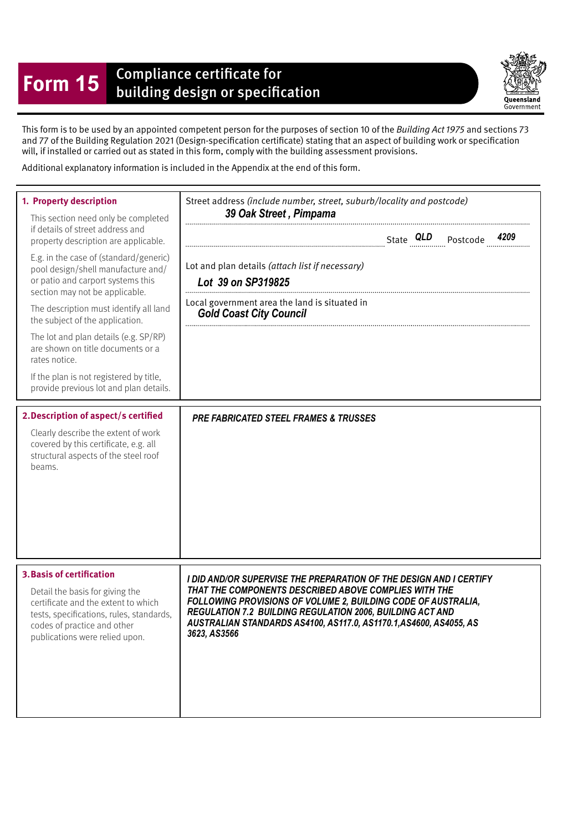## **Form 15** Compliance certificate for<br>building design or specification



This form is to be used by an appointed competent person for the purposes of section 10 of the Building Act 1975 and sections 73 and 77 of the Building Regulation 2021 (Design-specifcation certifcate) stating that an aspect of building work or specifcation will, if installed or carried out as stated in this form, comply with the building assessment provisions.

Additional explanatory information is included in the Appendix at the end of this form.

| 1. Property description<br>This section need only be completed<br>if details of street address and<br>property description are applicable.<br>E.g. in the case of (standard/generic)<br>pool design/shell manufacture and/<br>or patio and carport systems this<br>section may not be applicable.<br>The description must identify all land<br>the subject of the application.<br>The lot and plan details (e.g. SP/RP)<br>are shown on title documents or a<br>rates notice.<br>If the plan is not registered by title,<br>provide previous lot and plan details.<br>2. Description of aspect/s certified<br>Clearly describe the extent of work<br>covered by this certificate, e.g. all<br>structural aspects of the steel roof<br>beams. | Street address (include number, street, suburb/locality and postcode)<br>39 Oak Street, Pimpama<br>Lot and plan details (attach list if necessary)<br>Lot 39 on SP319825<br>Local government area the land is situated in<br><b>Gold Coast City Council</b><br><b>PRE FABRICATED STEEL FRAMES &amp; TRUSSES</b> |  |
|----------------------------------------------------------------------------------------------------------------------------------------------------------------------------------------------------------------------------------------------------------------------------------------------------------------------------------------------------------------------------------------------------------------------------------------------------------------------------------------------------------------------------------------------------------------------------------------------------------------------------------------------------------------------------------------------------------------------------------------------|-----------------------------------------------------------------------------------------------------------------------------------------------------------------------------------------------------------------------------------------------------------------------------------------------------------------|--|
| <b>3. Basis of certification</b>                                                                                                                                                                                                                                                                                                                                                                                                                                                                                                                                                                                                                                                                                                             | I DID AND/OR SUPERVISE THE PREPARATION OF THE DESIGN AND I CERTIFY                                                                                                                                                                                                                                              |  |
| Detail the basis for giving the                                                                                                                                                                                                                                                                                                                                                                                                                                                                                                                                                                                                                                                                                                              | THAT THE COMPONENTS DESCRIBED ABOVE COMPLIES WITH THE                                                                                                                                                                                                                                                           |  |
| certificate and the extent to which                                                                                                                                                                                                                                                                                                                                                                                                                                                                                                                                                                                                                                                                                                          | FOLLOWING PROVISIONS OF VOLUME 2, BUILDING CODE OF AUSTRALIA,                                                                                                                                                                                                                                                   |  |
| tests, specifications, rules, standards,                                                                                                                                                                                                                                                                                                                                                                                                                                                                                                                                                                                                                                                                                                     | REGULATION 7.2 BUILDING REGULATION 2006, BUILDING ACT AND                                                                                                                                                                                                                                                       |  |
| codes of practice and other                                                                                                                                                                                                                                                                                                                                                                                                                                                                                                                                                                                                                                                                                                                  | AUSTRALIAN STANDARDS AS4100, AS117.0, AS1170.1, AS4600, AS4055, AS                                                                                                                                                                                                                                              |  |
| publications were relied upon.                                                                                                                                                                                                                                                                                                                                                                                                                                                                                                                                                                                                                                                                                                               | 3623, AS3566                                                                                                                                                                                                                                                                                                    |  |